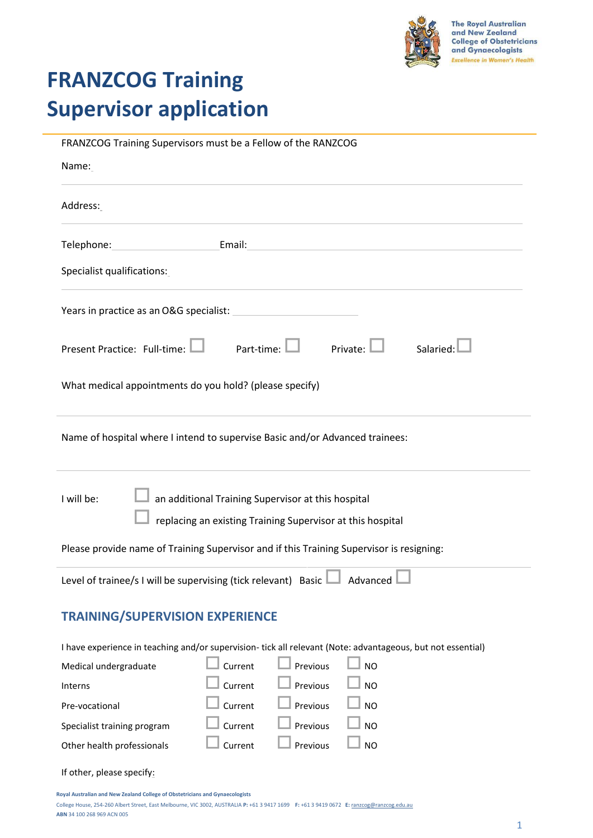

# **FRANZCOG Training Supervisor application**

| FRANZCOG Training Supervisors must be a Fellow of the RANZCOG                                                                                                                                                                  |
|--------------------------------------------------------------------------------------------------------------------------------------------------------------------------------------------------------------------------------|
| Name:                                                                                                                                                                                                                          |
| Address:                                                                                                                                                                                                                       |
| Telephone: Email: Email: Email: Email: Email: Email: Email: Email: Email: Email: Email: Email: Email: Email: Email: Email: Email: Email: Email: Email: Email: Email: Email: Email: Email: Email: Email: Email: Email: Email: E |
| Specialist qualifications:                                                                                                                                                                                                     |
| Years in practice as an O&G specialist:<br><u> 1980 - Johann Barbara, martxa a</u>                                                                                                                                             |
| Part-time:<br>Private:<br>Salaried:<br>Present Practice: Full-time:                                                                                                                                                            |
| What medical appointments do you hold? (please specify)                                                                                                                                                                        |
| Name of hospital where I intend to supervise Basic and/or Advanced trainees:                                                                                                                                                   |
| an additional Training Supervisor at this hospital<br>I will be:<br>replacing an existing Training Supervisor at this hospital                                                                                                 |
| Please provide name of Training Supervisor and if this Training Supervisor is resigning:                                                                                                                                       |
| Level of trainee/s I will be supervising (tick relevant) Basic $\Box$ Advanced $\Box$                                                                                                                                          |
| <b>TRAINING/SUPERVISION EXPERIENCE</b>                                                                                                                                                                                         |
| I have experience in teaching and/or supervision-tick all relevant (Note: advantageous, but not essential)                                                                                                                     |
| Current<br>Previous<br><b>NO</b><br>Medical undergraduate                                                                                                                                                                      |
| Current<br>Previous<br><b>NO</b><br>Interns                                                                                                                                                                                    |
| Current<br>Previous<br><b>NO</b><br>Pre-vocational                                                                                                                                                                             |
| Current<br>Previous<br><b>NO</b><br>Specialist training program                                                                                                                                                                |
| <b>NO</b><br>Current<br>Previous<br>Other health professionals                                                                                                                                                                 |

If other, please specify:

**Royal Australian and New Zealand College of Obstetricians and Gynaecologists**

College House, 254-260 Albert Street, East Melbourne, VIC 3002, AUSTRALIA **P:** +61 3 9417 1699 **F:** +61 3 9419 0672 **E:** [ranzcog@ranzcog.edu.au](mailto:ranzcog@ranzcog.edu.au) **ABN** 34 100 268 969 ACN 005